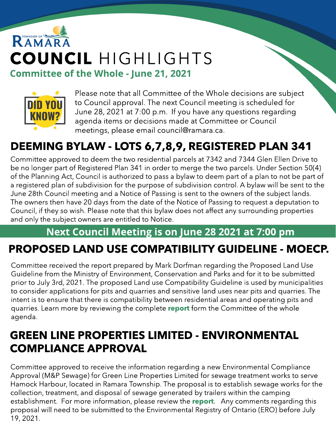# RAMAR COUNCIL HIGHLIGHTS Committee of the Whole - June 21, 2021



Please note that all Committee of the Whole decisions are subject to Council approval. The next Council meeting is scheduled for June 28, 2021 at 7:00 p.m. If you have any questions regarding agenda items or decisions made at Committee or Council meetings, please email council@ramara.ca.

## DEEMING BYLAW - LOTS 6,7,8,9, REGISTERED PLAN 341

Committee approved to deem the two residential parcels at 7342 and 7344 Glen Ellen Drive to be no longer part of Registered Plan 341 in order to merge the two parcels. Under Section 50(4) of the Planning Act, Council is authorized to pass a bylaw to deem part of a plan to not be part of a registered plan of subdivision for the purpose of subdivision control. A bylaw will be sent to the June 28th Council meeting and a Notice of Passing is sent to the owners of the subject lands. The owners then have 20 days from the date of the Notice of Passing to request a deputation to Council, if they so wish. Please note that this bylaw does not affect any surrounding properties and only the subject owners are entitled to Notice.

#### Next Council Meeting is on June 28 2021 at 7:00 pm

## PROPOSED LAND USE COMPATIBILITY GUIDELINE - MOECP.

Committee received the report prepared by Mark Dorfman regarding the Proposed Land Use Guideline from the Ministry of Environment, Conservation and Parks and for it to be submitted prior to July 3rd, 2021. The proposed Land use Compatibility Guideline is used by municipalities to consider applications for pits and quarries and sensitive land uses near pits and quarries. The intent is to ensure that there is compatibility between residential areas and operating pits and quarries. Learn more by reviewing the complete [report](https://ramara.civicweb.net/document/49675/LUG%20Report%20-%20Updated.pdf?handle=81B72D0B9C7D4393B0619CBF1EAA8995) form the Committee of the whole agenda.

### GREEN LINE PROPERTIES LIMITED - ENVIRONMENTAL COMPLIANCE APPROVAL

Committee approved to receive the information regarding a new Environmental Compliance Approval (M&P Sewage) for Green Line Properties Limited for sewage treatment works to serve Hamock Harbour, located in Ramara Township. The proposal is to establish sewage works for the collection, treatment, and disposal of sewage generated by trailers within the camping establishment. For more information, please review the [report](https://ramara.civicweb.net/document/49557/Green%20Line%20Properties%20Limited%20-%20Environ...pdf?handle=7C45A3D090674700B254043E60A17846). Any comments regarding this proposal will need to be submitted to the Environmental Registry of Ontario (ERO) before July 19, 2021.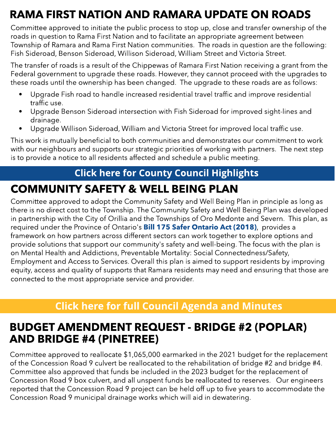## RAMA FIRST NATION AND RAMARA UPDATE ON ROADS

Committee approved to initiate the public process to stop up, close and transfer ownership of the roads in question to Rama First Nation and to facilitate an appropriate agreement between Township of Ramara and Rama First Nation communities. The roads in question are the following: Fish Sideroad, Benson Sideroad, Willison Sideroad, William Street and Victoria Street.

The transfer of roads is a result of the Chippewas of Ramara First Nation receiving a grant from the Federal government to upgrade these roads. However, they cannot proceed with the upgrades to these roads until the ownership has been changed. The upgrade to these roads are as follows:

- Upgrade Fish road to handle increased residential travel traffic and improve residential traffic use.
- Upgrade Benson Sideroad intersection with Fish Sideroad for improved sight-lines and drainage.
- Upgrade Willison Sideroad, William and Victoria Street for improved local traffic use.

This work is mutually beneficial to both communities and demonstrates our commitment to work with our neighbours and supports our strategic priorities of working with partners. The next step is to provide a notice to all residents affected and schedule a public meeting.

#### **[Click](https://www.simcoe.ca/dpt/ccd/newsletters) [here](https://www.simcoe.ca/dpt/ccd/newsletters) [for](https://www.simcoe.ca/dpt/ccd/newsletters) [Count](https://www.simcoe.ca/dpt/ccd/newsletters)y [Council](https://www.simcoe.ca/dpt/ccd/newsletters) [Highlight](https://www.simcoe.ca/dpt/ccd/newsletters)s**

## COMMUNITY SAFETY & WELL BEING PLAN

Committee approved to adopt the Community Safety and Well Being Plan in principle as long as there is no direct cost to the Township. The Community Safety and Well Being Plan was developed in partnership with the City of Orillia and the Townships of Oro Medonte and Severn. This plan, as required under the Province of [Ontario](https://www.ontario.ca/laws/statute/s18003)'s **[Bill](https://www.ontario.ca/laws/statute/s18003) [175](https://www.ontario.ca/laws/statute/s18003) [Safer](https://www.ontario.ca/laws/statute/s18003) Ontario [Act](https://www.ontario.ca/laws/statute/s18003) [\(2018\)](https://www.ontario.ca/laws/statute/s18003)**, provides a framework on how partners across different sectors can work together to explore options and provide solutions that support our community's safety and well-being. The focus with the plan is on Mental Health and Addictions, Preventable Mortality: Social Connectedness/Safety, Employment and Access to Services. Overall this plan is aimed to support residents by improving equity, access and quality of supports that Ramara residents may need and ensuring that those are connected to the most appropriate service and provider.

#### **[Click](https://ramara.civicweb.net/portal/) [here](https://ramara.civicweb.net/portal/) [for](https://ramara.civicweb.net/portal/) [full](https://ramara.civicweb.net/portal/) [Council](https://ramara.civicweb.net/portal/) [Agenda](https://ramara.civicweb.net/portal/) [and](https://ramara.civicweb.net/portal/) [Minut](https://ramara.civicweb.net/portal/)es**

### BUDGET AMENDMENT REQUEST - BRIDGE #2 (POPLAR) AND BRIDGE #4 (PINETREE)

Committee approved to reallocate \$1,065,000 earmarked in the 2021 budget for the replacement of the Concession Road 9 culvert be reallocated to the rehabilitation of bridge #2 and bridge #4. Committee also approved that funds be included in the 2023 budget for the replacement of Concession Road 9 box culvert, and all unspent funds be reallocated to reserves. Our engineers reported that the Concession Road 9 project can be held off up to five years to accommodate the Concession Road 9 municipal drainage works which will aid in dewatering.